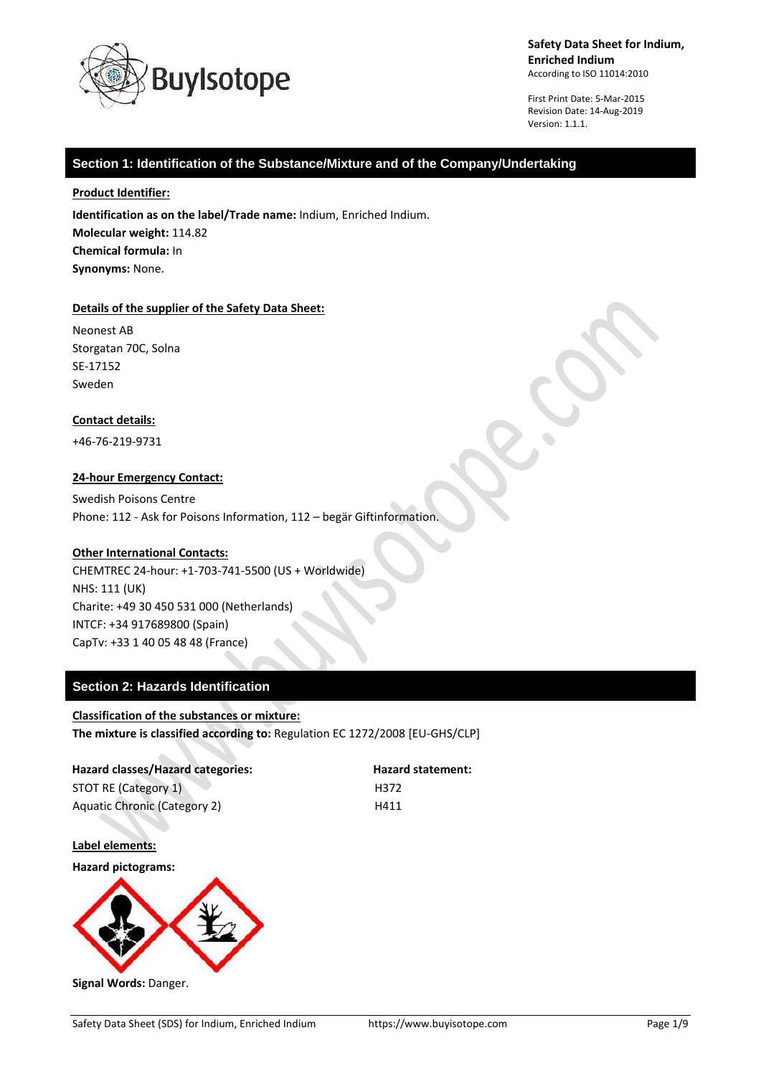

First Print Date: 5-Mar-2015 Revision Date: 14-Aug-2019 Version: 1.1.1.

## **Section 1: Identification of the Substance/Mixture and of the Company/Undertaking**

### **Product Identifier:**

**Identification as on the label/Trade name:** Indium, Enriched Indium. **Molecular weight:** 114.82 **Chemical formula:** In **Synonyms:** None.

#### **Details of the supplier of the Safety Data Sheet:**

Neonest AB Storgatan 70C, Solna SE-17152 Sweden

## **Contact details:**

+46-76-219-9731

## **24-hour Emergency Contact:**

Swedish Poisons Centre Phone: 112 - Ask for Poisons Information, 112 – begär Giftinformation.

## **Other International Contacts:**

CHEMTREC 24-hour: +1-703-741-5500 (US + Worldwide) NHS: 111 (UK) Charite: +49 30 450 531 000 (Netherlands) INTCF: +34 917689800 (Spain) CapTv: +33 1 40 05 48 48 (France)

## **Section 2: Hazards Identification**

## **Classification of the substances or mixture:**

**The mixture is classified according to:** Regulation EC 1272/2008 [EU-GHS/CLP]

| Hazard classes/Hazard categories: | <b>Hazard statement:</b> |
|-----------------------------------|--------------------------|
| STOT RE (Category 1)              | H372                     |
| Aquatic Chronic (Category 2)      | H411                     |

**Label elements:**

**Hazard pictograms:**



**Signal Words:** Danger.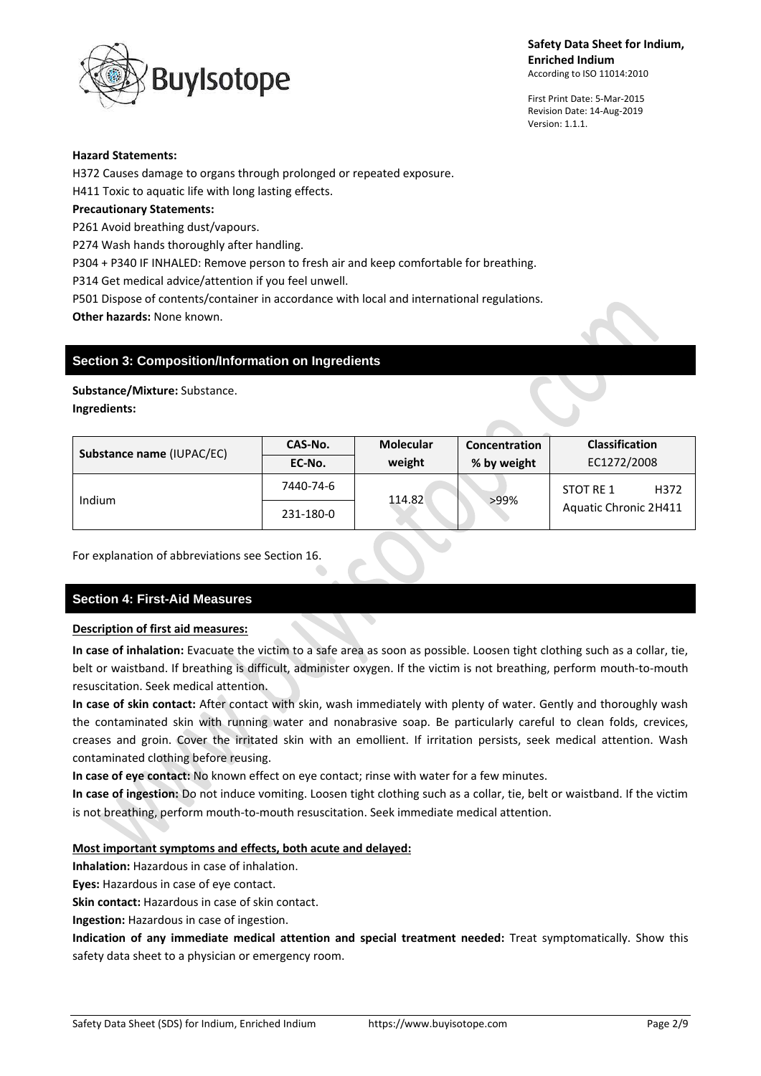

First Print Date: 5-Mar-2015 Revision Date: 14-Aug-2019 Version: 1.1.1.

### **Hazard Statements:**

H372 Causes damage to organs through prolonged or repeated exposure. H411 Toxic to aquatic life with long lasting effects.

## **Precautionary Statements:**

P261 Avoid breathing dust/vapours.

P274 Wash hands thoroughly after handling.

P304 + P340 IF INHALED: Remove person to fresh air and keep comfortable for breathing.

P314 Get medical advice/attention if you feel unwell.

P501 Dispose of contents/container in accordance with local and international regulations. **Other hazards:** None known.

## **Section 3: Composition/Information on Ingredients**

**Substance/Mixture:** Substance.

**Ingredients:**

| Substance name (IUPAC/EC) | CAS-No.   | <b>Molecular</b> | <b>Concentration</b> | <b>Classification</b> |
|---------------------------|-----------|------------------|----------------------|-----------------------|
|                           | EC-No.    | weight           | % by weight          | EC1272/2008           |
| Indium                    | 7440-74-6 | 114.82           | >99%                 | H372<br>STOT RE 1     |
|                           | 231-180-0 |                  |                      | Aquatic Chronic 2H411 |

For explanation of abbreviations see Section 16.

# **Section 4: First-Aid Measures**

## **Description of first aid measures:**

**In case of inhalation:** Evacuate the victim to a safe area as soon as possible. Loosen tight clothing such as a collar, tie, belt or waistband. If breathing is difficult, administer oxygen. If the victim is not breathing, perform mouth-to-mouth resuscitation. Seek medical attention.

**In case of skin contact:** After contact with skin, wash immediately with plenty of water. Gently and thoroughly wash the contaminated skin with running water and nonabrasive soap. Be particularly careful to clean folds, crevices, creases and groin. Cover the irritated skin with an emollient. If irritation persists, seek medical attention. Wash contaminated clothing before reusing.

**In case of eye contact:** No known effect on eye contact; rinse with water for a few minutes.

**In case of ingestion:** Do not induce vomiting. Loosen tight clothing such as a collar, tie, belt or waistband. If the victim is not breathing, perform mouth-to-mouth resuscitation. Seek immediate medical attention.

## **Most important symptoms and effects, both acute and delayed:**

**Inhalation:** Hazardous in case of inhalation.

**Eyes:** Hazardous in case of eye contact.

**Skin contact:** Hazardous in case of skin contact.

**Ingestion:** Hazardous in case of ingestion.

**Indication of any immediate medical attention and special treatment needed:** Treat symptomatically. Show this safety data sheet to a physician or emergency room.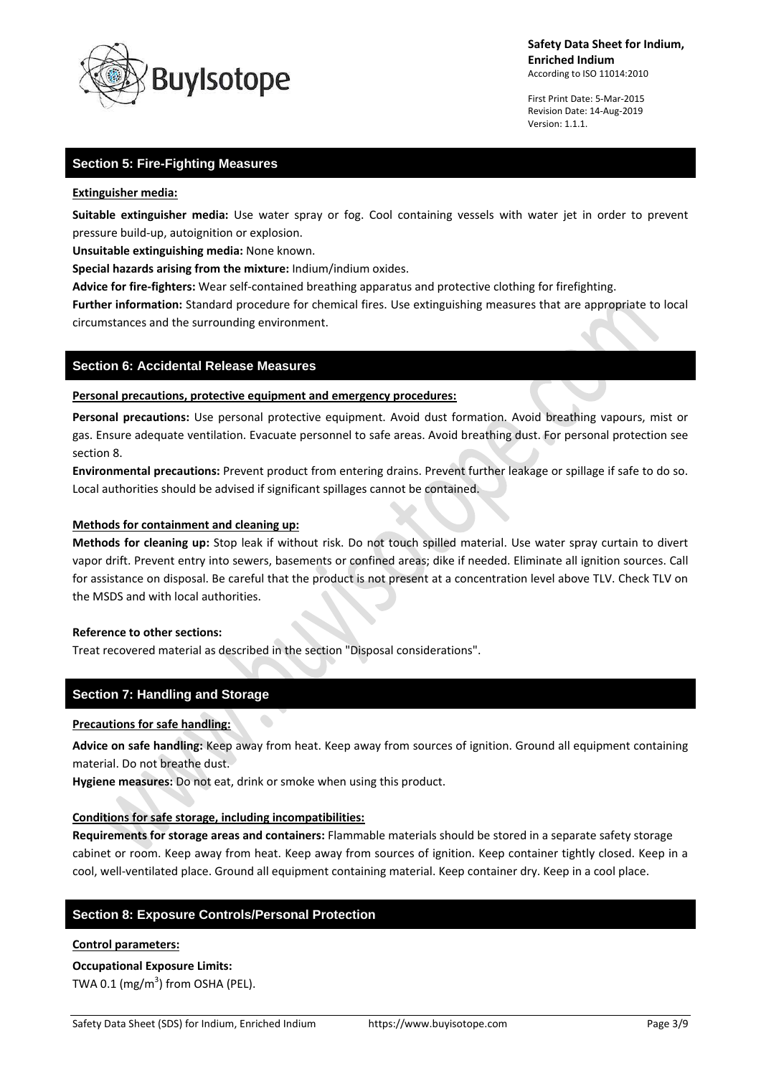

First Print Date: 5-Mar-2015 Revision Date: 14-Aug-2019 Version: 1.1.1.

## **Section 5: Fire-Fighting Measures**

#### **Extinguisher media:**

**Suitable extinguisher media:** Use water spray or fog. Cool containing vessels with water jet in order to prevent pressure build-up, autoignition or explosion.

**Unsuitable extinguishing media:** None known.

**Special hazards arising from the mixture:** Indium/indium oxides.

**Advice for fire-fighters:** Wear self-contained breathing apparatus and protective clothing for firefighting.

**Further information:** Standard procedure for chemical fires. Use extinguishing measures that are appropriate to local circumstances and the surrounding environment.

## **Section 6: Accidental Release Measures**

### **Personal precautions, protective equipment and emergency procedures:**

**Personal precautions:** Use personal protective equipment. Avoid dust formation. Avoid breathing vapours, mist or gas. Ensure adequate ventilation. Evacuate personnel to safe areas. Avoid breathing dust. For personal protection see section 8.

**Environmental precautions:** Prevent product from entering drains. Prevent further leakage or spillage if safe to do so. Local authorities should be advised if significant spillages cannot be contained.

## **Methods for containment and cleaning up:**

**Methods for cleaning up:** Stop leak if without risk. Do not touch spilled material. Use water spray curtain to divert vapor drift. Prevent entry into sewers, basements or confined areas; dike if needed. Eliminate all ignition sources. Call for assistance on disposal. Be careful that the product is not present at a concentration level above TLV. Check TLV on the MSDS and with local authorities.

## **Reference to other sections:**

Treat recovered material as described in the section "Disposal considerations".

## **Section 7: Handling and Storage**

## **Precautions for safe handling:**

**Advice on safe handling:** Keep away from heat. Keep away from sources of ignition. Ground all equipment containing material. Do not breathe dust.

**Hygiene measures:** Do not eat, drink or smoke when using this product.

## **Conditions for safe storage, including incompatibilities:**

**Requirements for storage areas and containers:** Flammable materials should be stored in a separate safety storage cabinet or room. Keep away from heat. Keep away from sources of ignition. Keep container tightly closed. Keep in a cool, well-ventilated place. Ground all equipment containing material. Keep container dry. Keep in a cool place.

## **Section 8: Exposure Controls/Personal Protection**

#### **Control parameters:**

# **Occupational Exposure Limits:** TWA 0.1 (mg/m $^3$ ) from OSHA (PEL).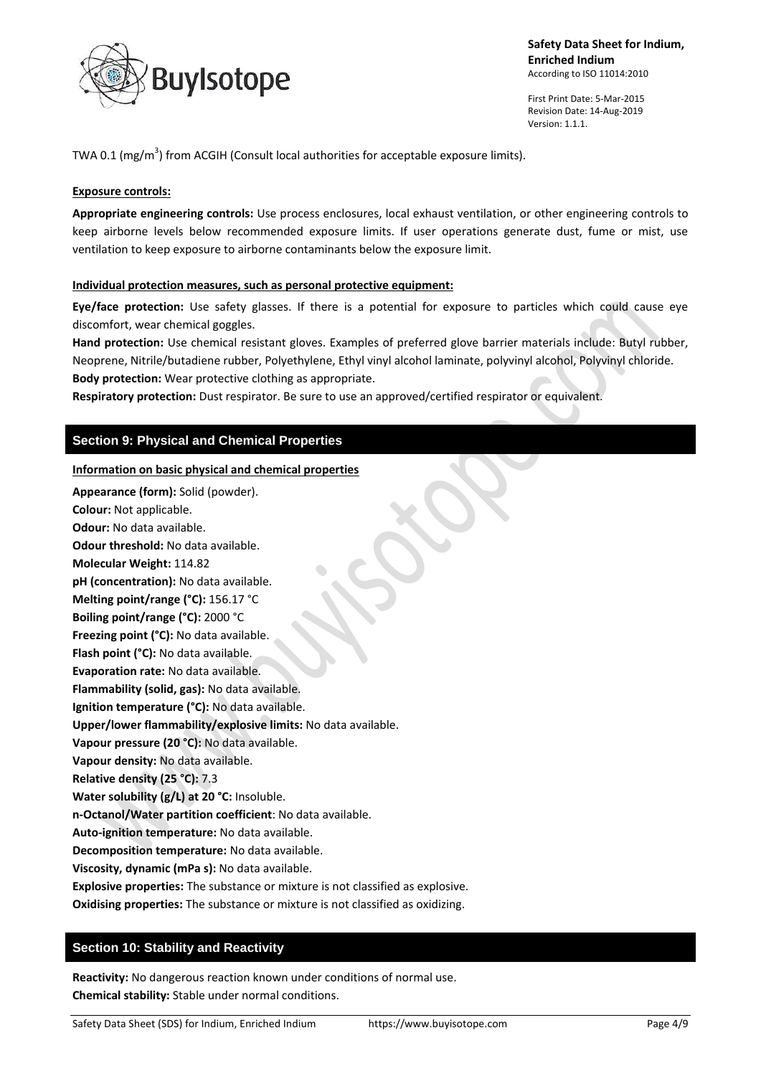

First Print Date: 5-Mar-2015 Revision Date: 14-Aug-2019 Version: 1.1.1.

TWA 0.1 (mg/m<sup>3</sup>) from ACGIH (Consult local authorities for acceptable exposure limits).

## **Exposure controls:**

**Appropriate engineering controls:** Use process enclosures, local exhaust ventilation, or other engineering controls to keep airborne levels below recommended exposure limits. If user operations generate dust, fume or mist, use ventilation to keep exposure to airborne contaminants below the exposure limit.

## **Individual protection measures, such as personal protective equipment:**

**Eye/face protection:** Use safety glasses. If there is a potential for exposure to particles which could cause eye discomfort, wear chemical goggles.

**Hand protection:** Use chemical resistant gloves. Examples of preferred glove barrier materials include: Butyl rubber, Neoprene, Nitrile/butadiene rubber, Polyethylene, Ethyl vinyl alcohol laminate, polyvinyl alcohol, Polyvinyl chloride. **Body protection:** Wear protective clothing as appropriate.

**Respiratory protection:** Dust respirator. Be sure to use an approved/certified respirator or equivalent.

## **Section 9: Physical and Chemical Properties**

## **Information on basic physical and chemical properties**

**Appearance (form):** Solid (powder). **Colour:** Not applicable. **Odour:** No data available. **Odour threshold:** No data available. **Molecular Weight:** 114.82 **pH (concentration):** No data available. **Melting point/range (°C):** 156.17 °C **Boiling point/range (°C):** 2000 °C **Freezing point (°C):** No data available. **Flash point (°C):** No data available. **Evaporation rate:** No data available. **Flammability (solid, gas):** No data available. **Ignition temperature (°C):** No data available. **Upper/lower flammability/explosive limits:** No data available. **Vapour pressure (20 °C):** No data available. **Vapour density:** No data available. **Relative density (25 °C):** 7.3 **Water solubility (g/L) at 20 °C:** Insoluble. **n-Octanol/Water partition coefficient**: No data available. **Auto-ignition temperature:** No data available. **Decomposition temperature:** No data available. **Viscosity, dynamic (mPa s):** No data available. **Explosive properties:** The substance or mixture is not classified as explosive. **Oxidising properties:** The substance or mixture is not classified as oxidizing.

## **Section 10: Stability and Reactivity**

**Reactivity:** No dangerous reaction known under conditions of normal use. **Chemical stability:** Stable under normal conditions.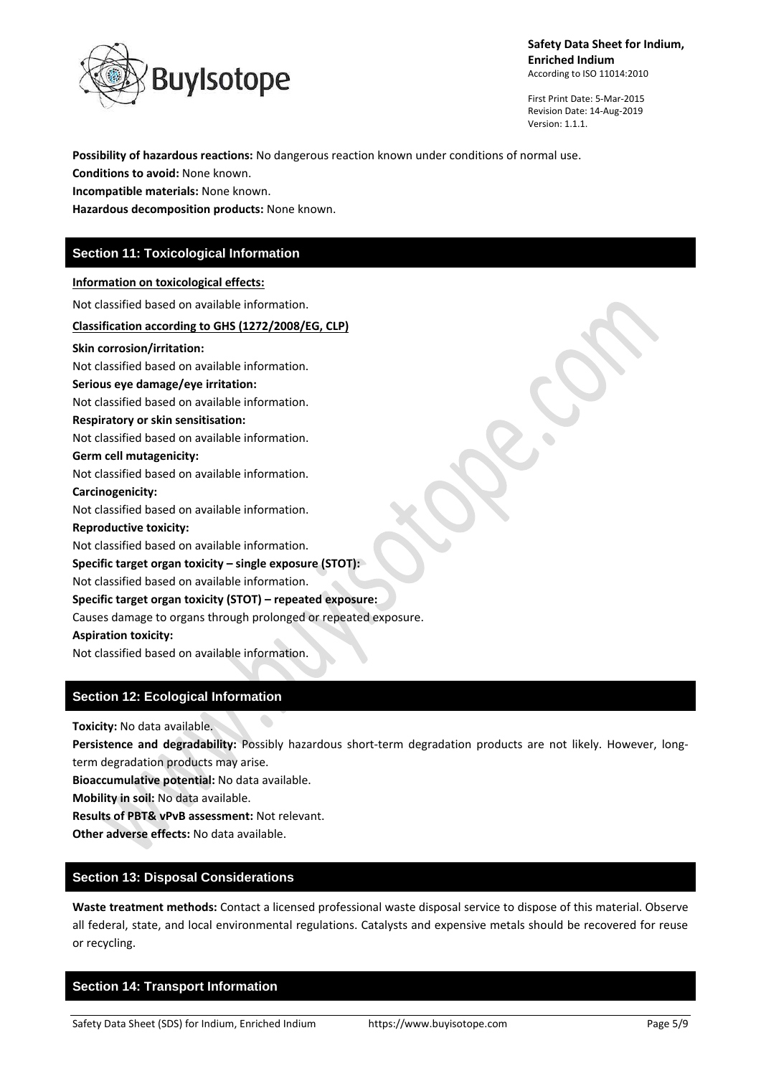

First Print Date: 5-Mar-2015 Revision Date: 14-Aug-2019 Version: 1.1.1.

**Possibility of hazardous reactions:** No dangerous reaction known under conditions of normal use.

**Conditions to avoid:** None known.

**Incompatible materials:** None known.

**Hazardous decomposition products:** None known.

## **Section 11: Toxicological Information**

#### **Information on toxicological effects:**

Not classified based on available information.

#### **Classification according to GHS (1272/2008/EG, CLP)**

**Skin corrosion/irritation:**

Not classified based on available information.

## **Serious eye damage/eye irritation:**

Not classified based on available information.

#### **Respiratory or skin sensitisation:**

Not classified based on available information.

#### **Germ cell mutagenicity:**

Not classified based on available information.

#### **Carcinogenicity:**

Not classified based on available information.

#### **Reproductive toxicity:**

Not classified based on available information.

## **Specific target organ toxicity – single exposure (STOT):**

Not classified based on available information.

## **Specific target organ toxicity (STOT) – repeated exposure:**

Causes damage to organs through prolonged or repeated exposure.

**Aspiration toxicity:**

Not classified based on available information.

# **Section 12: Ecological Information**

**Toxicity:** No data available.

**Persistence and degradability:** Possibly hazardous short-term degradation products are not likely. However, longterm degradation products may arise.

**Bioaccumulative potential:** No data available.

**Mobility in soil:** No data available.

**Results of PBT& vPvB assessment:** Not relevant.

**Other adverse effects:** No data available.

## **Section 13: Disposal Considerations**

**Waste treatment methods:** Contact a licensed professional waste disposal service to dispose of this material. Observe all federal, state, and local environmental regulations. Catalysts and expensive metals should be recovered for reuse or recycling.

## **Section 14: Transport Information**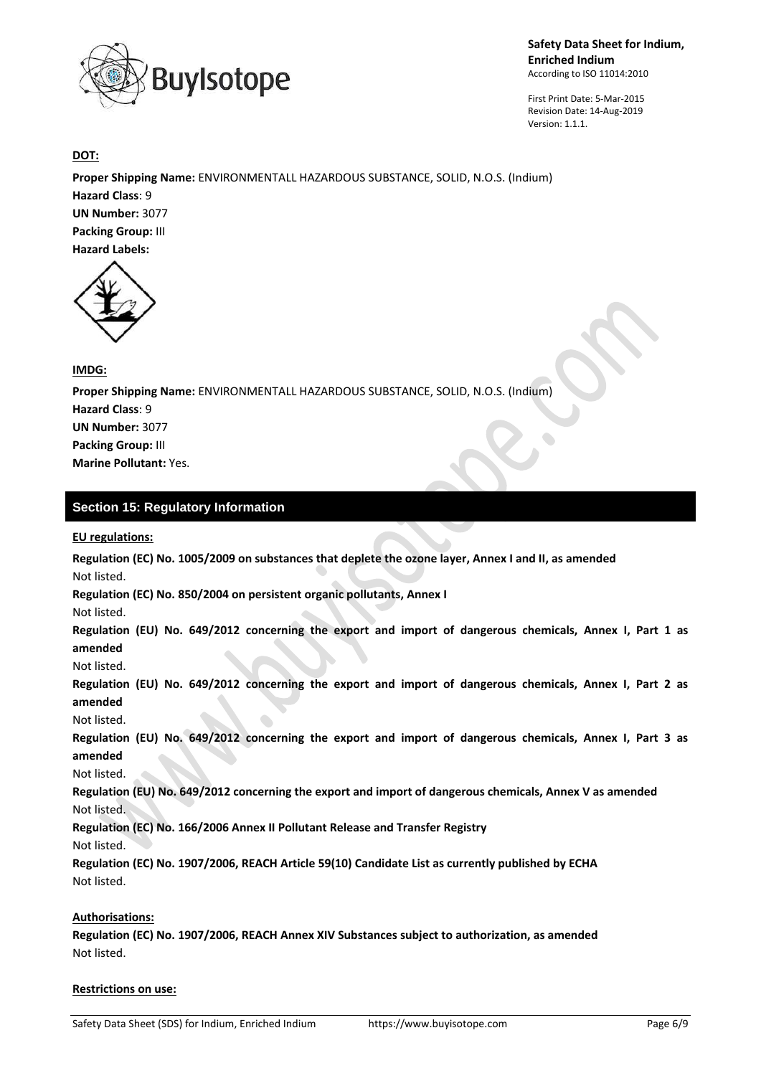

First Print Date: 5-Mar-2015 Revision Date: 14-Aug-2019 Version: 1.1.1.

**DOT:**

**Proper Shipping Name:** ENVIRONMENTALL HAZARDOUS SUBSTANCE, SOLID, N.O.S. (Indium) **Hazard Class**: 9 **UN Number:** 3077 **Packing Group:** III **Hazard Labels:** 



## **IMDG:**

**Proper Shipping Name:** ENVIRONMENTALL HAZARDOUS SUBSTANCE, SOLID, N.O.S. (Indium) **Hazard Class**: 9 **UN Number:** 3077 **Packing Group:** III **Marine Pollutant:** Yes.

# **Section 15: Regulatory Information**

## **EU regulations:**

**Regulation (EC) No. 1005/2009 on substances that deplete the ozone layer, Annex I and II, as amended** Not listed.

**Regulation (EC) No. 850/2004 on persistent organic pollutants, Annex I**

Not listed.

**Regulation (EU) No. 649/2012 concerning the export and import of dangerous chemicals, Annex I, Part 1 as amended**

Not listed.

**Regulation (EU) No. 649/2012 concerning the export and import of dangerous chemicals, Annex I, Part 2 as amended**

Not listed.

**Regulation (EU) No. 649/2012 concerning the export and import of dangerous chemicals, Annex I, Part 3 as amended**

Not listed.

**Regulation (EU) No. 649/2012 concerning the export and import of dangerous chemicals, Annex V as amended** Not listed.

**Regulation (EC) No. 166/2006 Annex II Pollutant Release and Transfer Registry**

Not listed.

**Regulation (EC) No. 1907/2006, REACH Article 59(10) Candidate List as currently published by ECHA** Not listed.

## **Authorisations:**

**Regulation (EC) No. 1907/2006, REACH Annex XIV Substances subject to authorization, as amended** Not listed.

## **Restrictions on use:**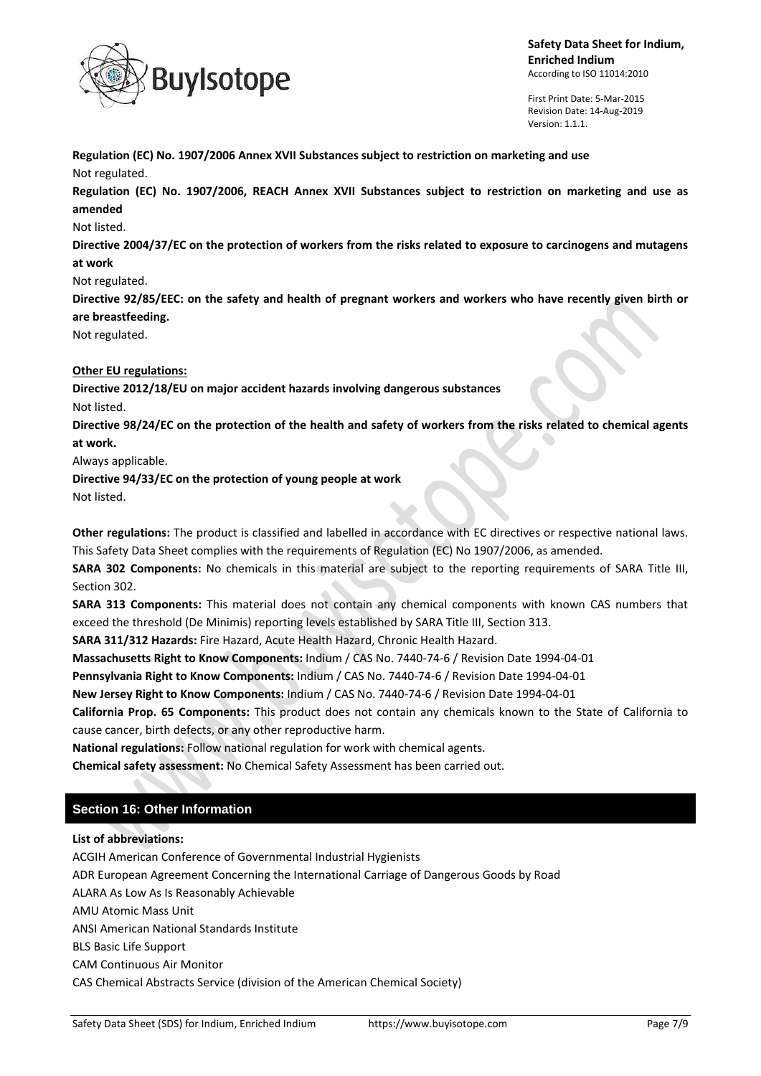

First Print Date: 5-Mar-2015 Revision Date: 14-Aug-2019 Version: 1.1.1.

**Regulation (EC) No. 1907/2006 Annex XVII Substances subject to restriction on marketing and use** Not regulated.

**Regulation (EC) No. 1907/2006, REACH Annex XVII Substances subject to restriction on marketing and use as amended**

## Not listed.

**Directive 2004/37/EC on the protection of workers from the risks related to exposure to carcinogens and mutagens at work**

Not regulated.

**Directive 92/85/EEC: on the safety and health of pregnant workers and workers who have recently given birth or are breastfeeding.**

Not regulated.

## **Other EU regulations:**

**Directive 2012/18/EU on major accident hazards involving dangerous substances** Not listed.

**Directive 98/24/EC on the protection of the health and safety of workers from the risks related to chemical agents at work.**

Always applicable.

**Directive 94/33/EC on the protection of young people at work** Not listed.

**Other regulations:** The product is classified and labelled in accordance with EC directives or respective national laws. This Safety Data Sheet complies with the requirements of Regulation (EC) No 1907/2006, as amended.

**SARA 302 Components:** No chemicals in this material are subject to the reporting requirements of SARA Title III, Section 302.

**SARA 313 Components:** This material does not contain any chemical components with known CAS numbers that exceed the threshold (De Minimis) reporting levels established by SARA Title III, Section 313.

**SARA 311/312 Hazards:** Fire Hazard, Acute Health Hazard, Chronic Health Hazard.

**Massachusetts Right to Know Components:** Indium / CAS No. 7440-74-6 / Revision Date 1994-04-01

**Pennsylvania Right to Know Components:** Indium / CAS No. 7440-74-6 / Revision Date 1994-04-01

**New Jersey Right to Know Components:** Indium / CAS No. 7440-74-6 / Revision Date 1994-04-01

**California Prop. 65 Components:** This product does not contain any chemicals known to the State of California to cause cancer, birth defects, or any other reproductive harm.

**National regulations:** Follow national regulation for work with chemical agents.

**Chemical safety assessment:** No Chemical Safety Assessment has been carried out.

# **Section 16: Other Information**

## **List of abbreviations:**

ACGIH American Conference of Governmental Industrial Hygienists ADR European Agreement Concerning the International Carriage of Dangerous Goods by Road ALARA As Low As Is Reasonably Achievable AMU Atomic Mass Unit ANSI American National Standards Institute BLS Basic Life Support CAM Continuous Air Monitor CAS Chemical Abstracts Service (division of the American Chemical Society)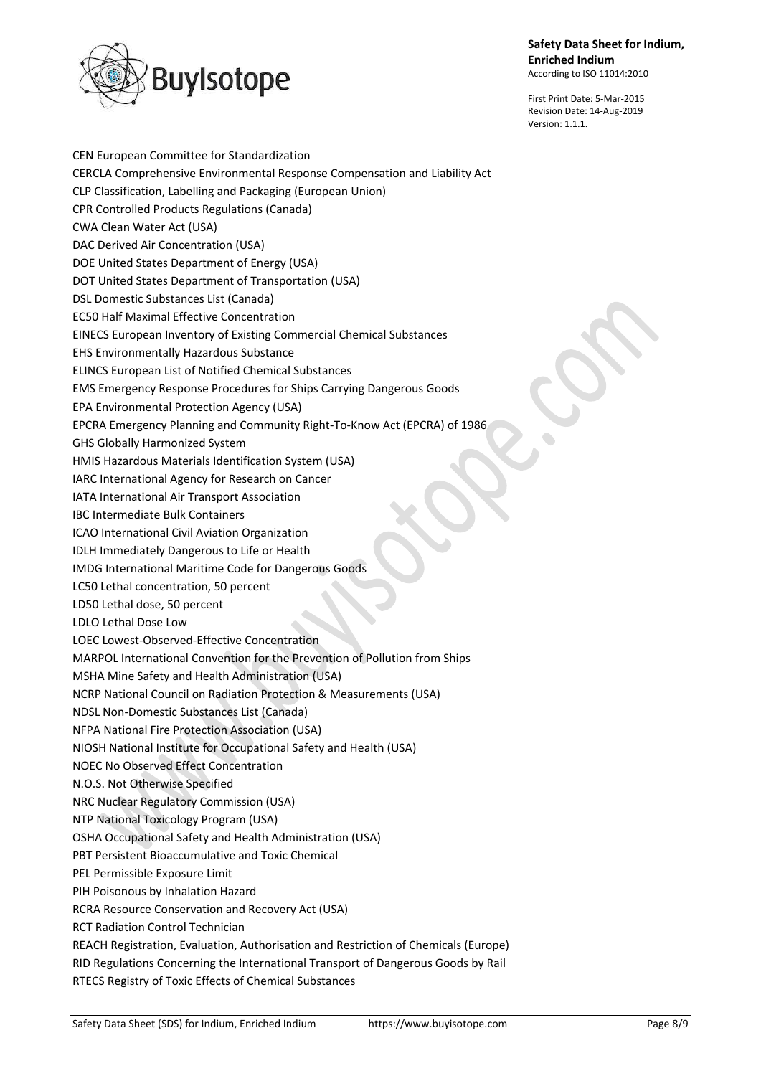

First Print Date: 5-Mar-2015 Revision Date: 14-Aug-2019 Version: 1.1.1.

CEN European Committee for Standardization CERCLA Comprehensive Environmental Response Compensation and Liability Act CLP Classification, Labelling and Packaging (European Union) CPR Controlled Products Regulations (Canada) CWA Clean Water Act (USA) DAC Derived Air Concentration (USA) DOE United States Department of Energy (USA) DOT United States Department of Transportation (USA) DSL Domestic Substances List (Canada) EC50 Half Maximal Effective Concentration EINECS European Inventory of Existing Commercial Chemical Substances EHS Environmentally Hazardous Substance ELINCS European List of Notified Chemical Substances EMS Emergency Response Procedures for Ships Carrying Dangerous Goods EPA Environmental Protection Agency (USA) EPCRA Emergency Planning and Community Right-To-Know Act (EPCRA) of 1986 GHS Globally Harmonized System HMIS Hazardous Materials Identification System (USA) IARC International Agency for Research on Cancer IATA International Air Transport Association IBC Intermediate Bulk Containers ICAO International Civil Aviation Organization IDLH Immediately Dangerous to Life or Health IMDG International Maritime Code for Dangerous Goods LC50 Lethal concentration, 50 percent LD50 Lethal dose, 50 percent LDLO Lethal Dose Low LOEC Lowest-Observed-Effective Concentration MARPOL International Convention for the Prevention of Pollution from Ships MSHA Mine Safety and Health Administration (USA) NCRP National Council on Radiation Protection & Measurements (USA) NDSL Non-Domestic Substances List (Canada) NFPA National Fire Protection Association (USA) NIOSH National Institute for Occupational Safety and Health (USA) NOEC No Observed Effect Concentration N.O.S. Not Otherwise Specified NRC Nuclear Regulatory Commission (USA) NTP National Toxicology Program (USA) OSHA Occupational Safety and Health Administration (USA) PBT Persistent Bioaccumulative and Toxic Chemical PEL Permissible Exposure Limit PIH Poisonous by Inhalation Hazard RCRA Resource Conservation and Recovery Act (USA) RCT Radiation Control Technician REACH Registration, Evaluation, Authorisation and Restriction of Chemicals (Europe) RID Regulations Concerning the International Transport of Dangerous Goods by Rail RTECS Registry of Toxic Effects of Chemical Substances